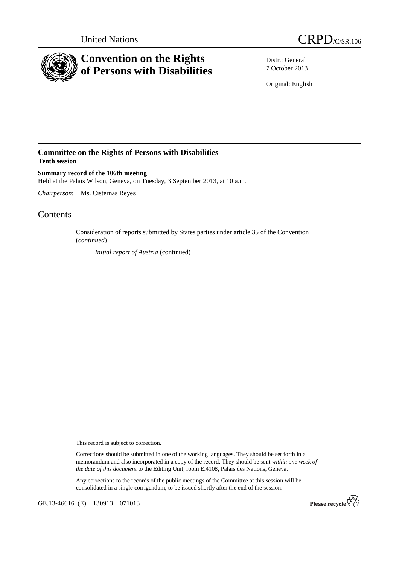



Distr.: General 7 October 2013

Original: English

## **Committee on the Rights of Persons with Disabilities Tenth session**

**Summary record of the 106th meeting**  Held at the Palais Wilson, Geneva, on Tuesday, 3 September 2013, at 10 a.m.

*Chairperson*: Ms. Cisternas Reyes

# **Contents**

Consideration of reports submitted by States parties under article 35 of the Convention (*continued*)

*Initial report of Austria* (continued)

This record is subject to correction.

Corrections should be submitted in one of the working languages. They should be set forth in a memorandum and also incorporated in a copy of the record. They should be sent *within one week of the date of this document* to the Editing Unit, room E.4108, Palais des Nations, Geneva.

Any corrections to the records of the public meetings of the Committee at this session will be consolidated in a single corrigendum, to be issued shortly after the end of the session.

GE.13-46616 (E) 130913 071013

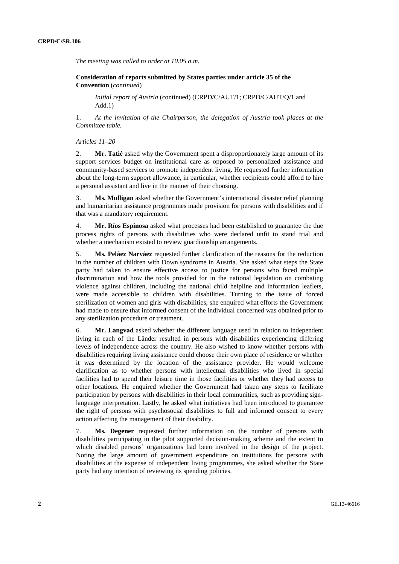*The meeting was called to order at 10.05 a.m.* 

 **Consideration of reports submitted by States parties under article 35 of the Convention** (*continued*)

*Initial report of Austria* (continued) (CRPD/C/AUT/1; CRPD/C/AUT/Q/1 and Add.1)

1. *At the invitation of the Chairperson, the delegation of Austria took places at the Committee table.* 

 *Articles 11–20* 

2. **Mr. Tatić** asked why the Government spent a disproportionately large amount of its support services budget on institutional care as opposed to personalized assistance and community-based services to promote independent living. He requested further information about the long-term support allowance, in particular, whether recipients could afford to hire a personal assistant and live in the manner of their choosing.

3. **Ms. Mulligan** asked whether the Government's international disaster relief planning and humanitarian assistance programmes made provision for persons with disabilities and if that was a mandatory requirement.

4. **Mr. Ríos Espinosa** asked what processes had been established to guarantee the due process rights of persons with disabilities who were declared unfit to stand trial and whether a mechanism existed to review guardianship arrangements.

5. **Ms. Peláez Narváez** requested further clarification of the reasons for the reduction in the number of children with Down syndrome in Austria. She asked what steps the State party had taken to ensure effective access to justice for persons who faced multiple discrimination and how the tools provided for in the national legislation on combating violence against children, including the national child helpline and information leaflets, were made accessible to children with disabilities. Turning to the issue of forced sterilization of women and girls with disabilities, she enquired what efforts the Government had made to ensure that informed consent of the individual concerned was obtained prior to any sterilization procedure or treatment.

6. **Mr. Langvad** asked whether the different language used in relation to independent living in each of the Länder resulted in persons with disabilities experiencing differing levels of independence across the country. He also wished to know whether persons with disabilities requiring living assistance could choose their own place of residence or whether it was determined by the location of the assistance provider. He would welcome clarification as to whether persons with intellectual disabilities who lived in special facilities had to spend their leisure time in those facilities or whether they had access to other locations. He enquired whether the Government had taken any steps to facilitate participation by persons with disabilities in their local communities, such as providing signlanguage interpretation. Lastly, he asked what initiatives had been introduced to guarantee the right of persons with psychosocial disabilities to full and informed consent to every action affecting the management of their disability.

7. **Ms. Degener** requested further information on the number of persons with disabilities participating in the pilot supported decision-making scheme and the extent to which disabled persons' organizations had been involved in the design of the project. Noting the large amount of government expenditure on institutions for persons with disabilities at the expense of independent living programmes, she asked whether the State party had any intention of reviewing its spending policies.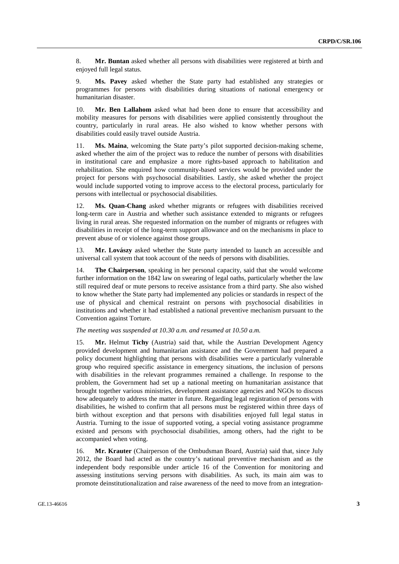8. **Mr. Buntan** asked whether all persons with disabilities were registered at birth and enjoyed full legal status.

9. **Ms. Pavey** asked whether the State party had established any strategies or programmes for persons with disabilities during situations of national emergency or humanitarian disaster.

10. **Mr. Ben Lallahom** asked what had been done to ensure that accessibility and mobility measures for persons with disabilities were applied consistently throughout the country, particularly in rural areas. He also wished to know whether persons with disabilities could easily travel outside Austria.

11. **Ms. Maina**, welcoming the State party's pilot supported decision-making scheme, asked whether the aim of the project was to reduce the number of persons with disabilities in institutional care and emphasize a more rights-based approach to habilitation and rehabilitation. She enquired how community-based services would be provided under the project for persons with psychosocial disabilities. Lastly, she asked whether the project would include supported voting to improve access to the electoral process, particularly for persons with intellectual or psychosocial disabilities.

12. **Ms. Quan-Chang** asked whether migrants or refugees with disabilities received long-term care in Austria and whether such assistance extended to migrants or refugees living in rural areas. She requested information on the number of migrants or refugees with disabilities in receipt of the long-term support allowance and on the mechanisms in place to prevent abuse of or violence against those groups.

13. **Mr. Lovászy** asked whether the State party intended to launch an accessible and universal call system that took account of the needs of persons with disabilities.

14. **The Chairperson**, speaking in her personal capacity, said that she would welcome further information on the 1842 law on swearing of legal oaths, particularly whether the law still required deaf or mute persons to receive assistance from a third party. She also wished to know whether the State party had implemented any policies or standards in respect of the use of physical and chemical restraint on persons with psychosocial disabilities in institutions and whether it had established a national preventive mechanism pursuant to the Convention against Torture.

#### *The meeting was suspended at 10.30 a.m. and resumed at 10.50 a.m.*

15. **Mr.** Helmut **Tichy** (Austria) said that, while the Austrian Development Agency provided development and humanitarian assistance and the Government had prepared a policy document highlighting that persons with disabilities were a particularly vulnerable group who required specific assistance in emergency situations, the inclusion of persons with disabilities in the relevant programmes remained a challenge. In response to the problem, the Government had set up a national meeting on humanitarian assistance that brought together various ministries, development assistance agencies and NGOs to discuss how adequately to address the matter in future. Regarding legal registration of persons with disabilities, he wished to confirm that all persons must be registered within three days of birth without exception and that persons with disabilities enjoyed full legal status in Austria. Turning to the issue of supported voting, a special voting assistance programme existed and persons with psychosocial disabilities, among others, had the right to be accompanied when voting.

16. **Mr. Krauter** (Chairperson of the Ombudsman Board, Austria) said that, since July 2012, the Board had acted as the country's national preventive mechanism and as the independent body responsible under article 16 of the Convention for monitoring and assessing institutions serving persons with disabilities. As such, its main aim was to promote deinstitutionalization and raise awareness of the need to move from an integration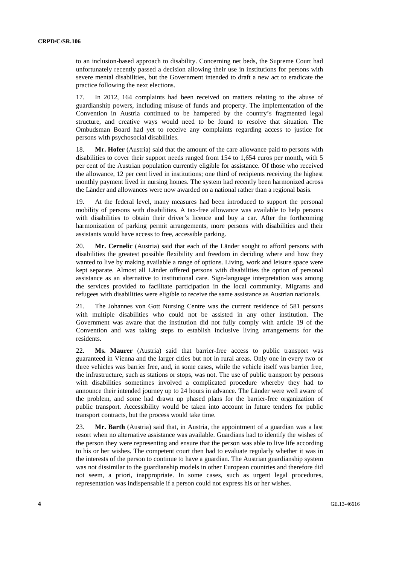to an inclusion-based approach to disability. Concerning net beds, the Supreme Court had unfortunately recently passed a decision allowing their use in institutions for persons with severe mental disabilities, but the Government intended to draft a new act to eradicate the practice following the next elections.

17. In 2012, 164 complaints had been received on matters relating to the abuse of guardianship powers, including misuse of funds and property. The implementation of the Convention in Austria continued to be hampered by the country's fragmented legal structure, and creative ways would need to be found to resolve that situation. The Ombudsman Board had yet to receive any complaints regarding access to justice for persons with psychosocial disabilities.

18. **Mr. Hofer** (Austria) said that the amount of the care allowance paid to persons with disabilities to cover their support needs ranged from 154 to 1,654 euros per month, with 5 per cent of the Austrian population currently eligible for assistance. Of those who received the allowance, 12 per cent lived in institutions; one third of recipients receiving the highest monthly payment lived in nursing homes. The system had recently been harmonized across the Länder and allowances were now awarded on a national rather than a regional basis.

19. At the federal level, many measures had been introduced to support the personal mobility of persons with disabilities. A tax-free allowance was available to help persons with disabilities to obtain their driver's licence and buy a car. After the forthcoming harmonization of parking permit arrangements, more persons with disabilities and their assistants would have access to free, accessible parking.

20. **Mr. Cernelic** (Austria) said that each of the Länder sought to afford persons with disabilities the greatest possible flexibility and freedom in deciding where and how they wanted to live by making available a range of options. Living, work and leisure space were kept separate. Almost all Länder offered persons with disabilities the option of personal assistance as an alternative to institutional care. Sign-language interpretation was among the services provided to facilitate participation in the local community. Migrants and refugees with disabilities were eligible to receive the same assistance as Austrian nationals.

21. The Johannes von Gott Nursing Centre was the current residence of 581 persons with multiple disabilities who could not be assisted in any other institution. The Government was aware that the institution did not fully comply with article 19 of the Convention and was taking steps to establish inclusive living arrangements for the residents.

22. **Ms. Maurer** (Austria) said that barrier-free access to public transport was guaranteed in Vienna and the larger cities but not in rural areas. Only one in every two or three vehicles was barrier free, and, in some cases, while the vehicle itself was barrier free, the infrastructure, such as stations or stops, was not. The use of public transport by persons with disabilities sometimes involved a complicated procedure whereby they had to announce their intended journey up to 24 hours in advance. The Länder were well aware of the problem, and some had drawn up phased plans for the barrier-free organization of public transport. Accessibility would be taken into account in future tenders for public transport contracts, but the process would take time.

23. **Mr. Barth** (Austria) said that, in Austria, the appointment of a guardian was a last resort when no alternative assistance was available. Guardians had to identify the wishes of the person they were representing and ensure that the person was able to live life according to his or her wishes. The competent court then had to evaluate regularly whether it was in the interests of the person to continue to have a guardian. The Austrian guardianship system was not dissimilar to the guardianship models in other European countries and therefore did not seem, a priori, inappropriate. In some cases, such as urgent legal procedures, representation was indispensable if a person could not express his or her wishes.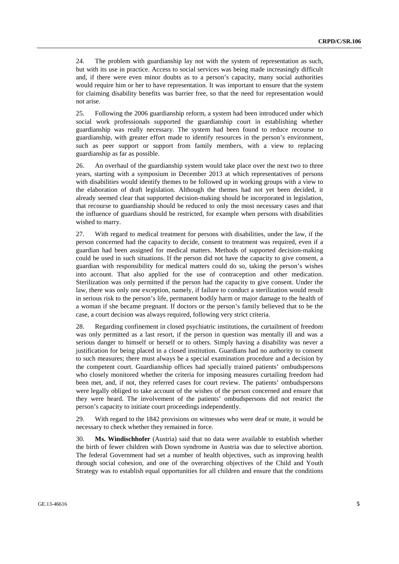24. The problem with guardianship lay not with the system of representation as such, but with its use in practice. Access to social services was being made increasingly difficult and, if there were even minor doubts as to a person's capacity, many social authorities would require him or her to have representation. It was important to ensure that the system for claiming disability benefits was barrier free, so that the need for representation would not arise.

25. Following the 2006 guardianship reform, a system had been introduced under which social work professionals supported the guardianship court in establishing whether guardianship was really necessary. The system had been found to reduce recourse to guardianship, with greater effort made to identify resources in the person's environment, such as peer support or support from family members, with a view to replacing guardianship as far as possible.

26. An overhaul of the guardianship system would take place over the next two to three years, starting with a symposium in December 2013 at which representatives of persons with disabilities would identify themes to be followed up in working groups with a view to the elaboration of draft legislation. Although the themes had not yet been decided, it already seemed clear that supported decision-making should be incorporated in legislation, that recourse to guardianship should be reduced to only the most necessary cases and that the influence of guardians should be restricted, for example when persons with disabilities wished to marry.

27. With regard to medical treatment for persons with disabilities, under the law, if the person concerned had the capacity to decide, consent to treatment was required, even if a guardian had been assigned for medical matters. Methods of supported decision-making could be used in such situations. If the person did not have the capacity to give consent, a guardian with responsibility for medical matters could do so, taking the person's wishes into account. That also applied for the use of contraception and other medication. Sterilization was only permitted if the person had the capacity to give consent. Under the law, there was only one exception, namely, if failure to conduct a sterilization would result in serious risk to the person's life, permanent bodily harm or major damage to the health of a woman if she became pregnant. If doctors or the person's family believed that to be the case, a court decision was always required, following very strict criteria.

28. Regarding confinement in closed psychiatric institutions, the curtailment of freedom was only permitted as a last resort, if the person in question was mentally ill and was a serious danger to himself or herself or to others. Simply having a disability was never a justification for being placed in a closed institution. Guardians had no authority to consent to such measures; there must always be a special examination procedure and a decision by the competent court. Guardianship offices had specially trained patients' ombudspersons who closely monitored whether the criteria for imposing measures curtailing freedom had been met, and, if not, they referred cases for court review. The patients' ombudspersons were legally obliged to take account of the wishes of the person concerned and ensure that they were heard. The involvement of the patients' ombudspersons did not restrict the person's capacity to initiate court proceedings independently.

29. With regard to the 1842 provisions on witnesses who were deaf or mute, it would be necessary to check whether they remained in force.

30. **Ms. Windischhofer** (Austria) said that no data were available to establish whether the birth of fewer children with Down syndrome in Austria was due to selective abortion. The federal Government had set a number of health objectives, such as improving health through social cohesion, and one of the overarching objectives of the Child and Youth Strategy was to establish equal opportunities for all children and ensure that the conditions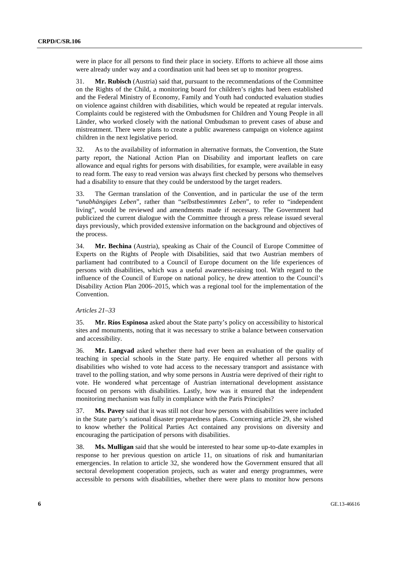were in place for all persons to find their place in society. Efforts to achieve all those aims were already under way and a coordination unit had been set up to monitor progress.

31. **Mr. Rubisch** (Austria) said that, pursuant to the recommendations of the Committee on the Rights of the Child, a monitoring board for children's rights had been established and the Federal Ministry of Economy, Family and Youth had conducted evaluation studies on violence against children with disabilities, which would be repeated at regular intervals. Complaints could be registered with the Ombudsmen for Children and Young People in all Länder, who worked closely with the national Ombudsman to prevent cases of abuse and mistreatment. There were plans to create a public awareness campaign on violence against children in the next legislative period.

32. As to the availability of information in alternative formats, the Convention, the State party report, the National Action Plan on Disability and important leaflets on care allowance and equal rights for persons with disabilities, for example, were available in easy to read form. The easy to read version was always first checked by persons who themselves had a disability to ensure that they could be understood by the target readers.

33. The German translation of the Convention, and in particular the use of the term "*unabhängiges Leben*", rather than "*selbstbestimmtes Leben*", to refer to "independent living", would be reviewed and amendments made if necessary. The Government had publicized the current dialogue with the Committee through a press release issued several days previously, which provided extensive information on the background and objectives of the process.

34. **Mr. Bechina** (Austria), speaking as Chair of the Council of Europe Committee of Experts on the Rights of People with Disabilities, said that two Austrian members of parliament had contributed to a Council of Europe document on the life experiences of persons with disabilities, which was a useful awareness-raising tool. With regard to the influence of the Council of Europe on national policy, he drew attention to the Council's Disability Action Plan 2006–2015, which was a regional tool for the implementation of the Convention.

#### *Articles 21–33*

35. **Mr. Ríos Espinosa** asked about the State party's policy on accessibility to historical sites and monuments, noting that it was necessary to strike a balance between conservation and accessibility.

36. **Mr. Langvad** asked whether there had ever been an evaluation of the quality of teaching in special schools in the State party. He enquired whether all persons with disabilities who wished to vote had access to the necessary transport and assistance with travel to the polling station, and why some persons in Austria were deprived of their right to vote. He wondered what percentage of Austrian international development assistance focused on persons with disabilities. Lastly, how was it ensured that the independent monitoring mechanism was fully in compliance with the Paris Principles?

37. **Ms. Pavey** said that it was still not clear how persons with disabilities were included in the State party's national disaster preparedness plans. Concerning article 29, she wished to know whether the Political Parties Act contained any provisions on diversity and encouraging the participation of persons with disabilities.

38. **Ms. Mulligan** said that she would be interested to hear some up-to-date examples in response to her previous question on article 11, on situations of risk and humanitarian emergencies. In relation to article 32, she wondered how the Government ensured that all sectoral development cooperation projects, such as water and energy programmes, were accessible to persons with disabilities, whether there were plans to monitor how persons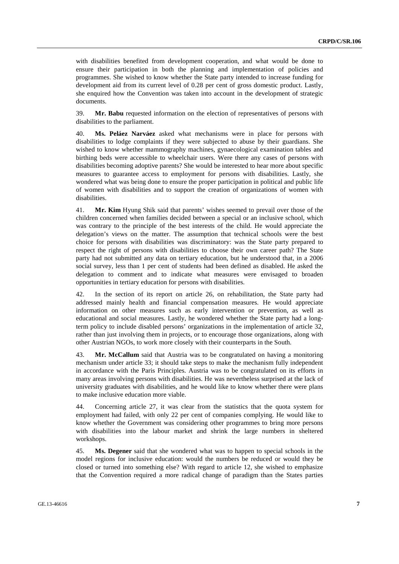with disabilities benefited from development cooperation, and what would be done to ensure their participation in both the planning and implementation of policies and programmes. She wished to know whether the State party intended to increase funding for development aid from its current level of 0.28 per cent of gross domestic product. Lastly, she enquired how the Convention was taken into account in the development of strategic documents.

39. **Mr. Babu** requested information on the election of representatives of persons with disabilities to the parliament.

40. **Ms. Peláez Narváez** asked what mechanisms were in place for persons with disabilities to lodge complaints if they were subjected to abuse by their guardians. She wished to know whether mammography machines, gynaecological examination tables and birthing beds were accessible to wheelchair users. Were there any cases of persons with disabilities becoming adoptive parents? She would be interested to hear more about specific measures to guarantee access to employment for persons with disabilities. Lastly, she wondered what was being done to ensure the proper participation in political and public life of women with disabilities and to support the creation of organizations of women with disabilities.

41. **Mr. Kim** Hyung Shik said that parents' wishes seemed to prevail over those of the children concerned when families decided between a special or an inclusive school, which was contrary to the principle of the best interests of the child. He would appreciate the delegation's views on the matter. The assumption that technical schools were the best choice for persons with disabilities was discriminatory: was the State party prepared to respect the right of persons with disabilities to choose their own career path? The State party had not submitted any data on tertiary education, but he understood that, in a 2006 social survey, less than 1 per cent of students had been defined as disabled. He asked the delegation to comment and to indicate what measures were envisaged to broaden opportunities in tertiary education for persons with disabilities.

42. In the section of its report on article 26, on rehabilitation, the State party had addressed mainly health and financial compensation measures. He would appreciate information on other measures such as early intervention or prevention, as well as educational and social measures. Lastly, he wondered whether the State party had a longterm policy to include disabled persons' organizations in the implementation of article 32, rather than just involving them in projects, or to encourage those organizations, along with other Austrian NGOs, to work more closely with their counterparts in the South.

43. **Mr. McCallum** said that Austria was to be congratulated on having a monitoring mechanism under article 33; it should take steps to make the mechanism fully independent in accordance with the Paris Principles. Austria was to be congratulated on its efforts in many areas involving persons with disabilities. He was nevertheless surprised at the lack of university graduates with disabilities, and he would like to know whether there were plans to make inclusive education more viable.

44. Concerning article 27, it was clear from the statistics that the quota system for employment had failed, with only 22 per cent of companies complying. He would like to know whether the Government was considering other programmes to bring more persons with disabilities into the labour market and shrink the large numbers in sheltered workshops.

45. **Ms. Degener** said that she wondered what was to happen to special schools in the model regions for inclusive education: would the numbers be reduced or would they be closed or turned into something else? With regard to article 12, she wished to emphasize that the Convention required a more radical change of paradigm than the States parties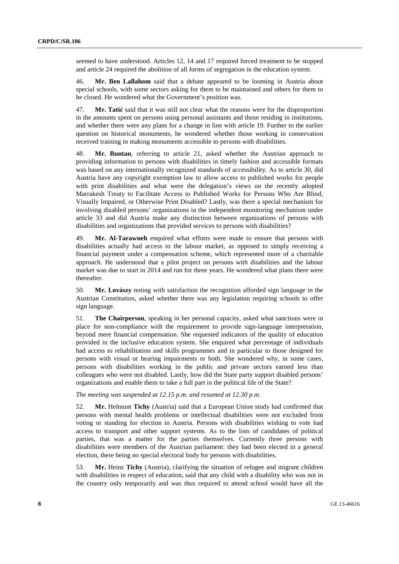seemed to have understood. Articles 12, 14 and 17 required forced treatment to be stopped and article 24 required the abolition of all forms of segregation in the education system.

46. **Mr. Ben Lallahom** said that a debate appeared to be looming in Austria about special schools, with some sectors asking for them to be maintained and others for them to be closed. He wondered what the Government's position was.

47. **Mr. Tatić** said that it was still not clear what the reasons were for the disproportion in the amounts spent on persons using personal assistants and those residing in institutions, and whether there were any plans for a change in line with article 19. Further to the earlier question on historical monuments, he wondered whether those working in conservation received training in making monuments accessible to persons with disabilities.

48. **Mr. Buntan**, referring to article 21, asked whether the Austrian approach to providing information to persons with disabilities in timely fashion and accessible formats was based on any internationally recognized standards of accessibility. As to article 30, did Austria have any copyright exemption law to allow access to published works for people with print disabilities and what were the delegation's views on the recently adopted Marrakesh Treaty to Facilitate Access to Published Works for Persons Who Are Blind, Visually Impaired, or Otherwise Print Disabled? Lastly, was there a special mechanism for involving disabled persons' organizations in the independent monitoring mechanism under article 33 and did Austria make any distinction between organizations of persons with disabilities and organizations that provided services to persons with disabilities?

49. **Mr. Al-Tarawneh** enquired what efforts were made to ensure that persons with disabilities actually had access to the labour market, as opposed to simply receiving a financial payment under a compensation scheme, which represented more of a charitable approach. He understood that a pilot project on persons with disabilities and the labour market was due to start in 2014 and run for three years. He wondered what plans there were thereafter.

50. **Mr. Lovászy** noting with satisfaction the recognition afforded sign language in the Austrian Constitution, asked whether there was any legislation requiring schools to offer sign language.

51. **The Chairperson**, speaking in her personal capacity, asked what sanctions were in place for non-compliance with the requirement to provide sign-language interpretation, beyond mere financial compensation. She requested indicators of the quality of education provided in the inclusive education system. She enquired what percentage of individuals had access to rehabilitation and skills programmes and in particular to those designed for persons with visual or hearing impairments or both. She wondered why, in some cases, persons with disabilities working in the public and private sectors earned less than colleagues who were not disabled. Lastly, how did the State party support disabled persons' organizations and enable them to take a full part in the political life of the State?

### *The meeting was suspended at 12.15 p.m. and resumed at 12.30 p.m.*

52. **Mr.** Helmunt **Tichy** (Austria) said that a European Union study had confirmed that persons with mental health problems or intellectual disabilities were not excluded from voting or standing for election in Austria. Persons with disabilities wishing to vote had access to transport and other support systems. As to the lists of candidates of political parties, that was a matter for the parties themselves. Currently three persons with disabilities were members of the Austrian parliament: they had been elected in a general election, there being no special electoral body for persons with disabilities.

53. **Mr.** Heinz **Tichy** (Austria), clarifying the situation of refugee and migrant children with disabilities in respect of education, said that any child with a disability who was not in the country only temporarily and was thus required to attend school would have all the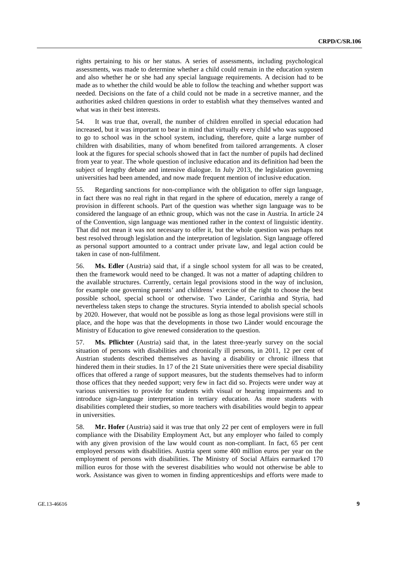rights pertaining to his or her status. A series of assessments, including psychological assessments, was made to determine whether a child could remain in the education system and also whether he or she had any special language requirements. A decision had to be made as to whether the child would be able to follow the teaching and whether support was needed. Decisions on the fate of a child could not be made in a secretive manner, and the authorities asked children questions in order to establish what they themselves wanted and what was in their best interests.

54. It was true that, overall, the number of children enrolled in special education had increased, but it was important to bear in mind that virtually every child who was supposed to go to school was in the school system, including, therefore, quite a large number of children with disabilities, many of whom benefited from tailored arrangements. A closer look at the figures for special schools showed that in fact the number of pupils had declined from year to year. The whole question of inclusive education and its definition had been the subject of lengthy debate and intensive dialogue. In July 2013, the legislation governing universities had been amended, and now made frequent mention of inclusive education.

55. Regarding sanctions for non-compliance with the obligation to offer sign language, in fact there was no real right in that regard in the sphere of education, merely a range of provision in different schools. Part of the question was whether sign language was to be considered the language of an ethnic group, which was not the case in Austria. In article 24 of the Convention, sign language was mentioned rather in the context of linguistic identity. That did not mean it was not necessary to offer it, but the whole question was perhaps not best resolved through legislation and the interpretation of legislation. Sign language offered as personal support amounted to a contract under private law, and legal action could be taken in case of non-fulfilment.

56. **Ms. Edler** (Austria) said that, if a single school system for all was to be created, then the framework would need to be changed. It was not a matter of adapting children to the available structures. Currently, certain legal provisions stood in the way of inclusion, for example one governing parents' and childrens' exercise of the right to choose the best possible school, special school or otherwise. Two Länder, Carinthia and Styria, had nevertheless taken steps to change the structures. Styria intended to abolish special schools by 2020. However, that would not be possible as long as those legal provisions were still in place, and the hope was that the developments in those two Länder would encourage the Ministry of Education to give renewed consideration to the question.

57. **Ms. Pflichter** (Austria) said that, in the latest three-yearly survey on the social situation of persons with disabilities and chronically ill persons, in 2011, 12 per cent of Austrian students described themselves as having a disability or chronic illness that hindered them in their studies. In 17 of the 21 State universities there were special disability offices that offered a range of support measures, but the students themselves had to inform those offices that they needed support; very few in fact did so. Projects were under way at various universities to provide for students with visual or hearing impairments and to introduce sign-language interpretation in tertiary education. As more students with disabilities completed their studies, so more teachers with disabilities would begin to appear in universities.

58. **Mr. Hofer** (Austria) said it was true that only 22 per cent of employers were in full compliance with the Disability Employment Act, but any employer who failed to comply with any given provision of the law would count as non-compliant. In fact, 65 per cent employed persons with disabilities. Austria spent some 400 million euros per year on the employment of persons with disabilities. The Ministry of Social Affairs earmarked 170 million euros for those with the severest disabilities who would not otherwise be able to work. Assistance was given to women in finding apprenticeships and efforts were made to